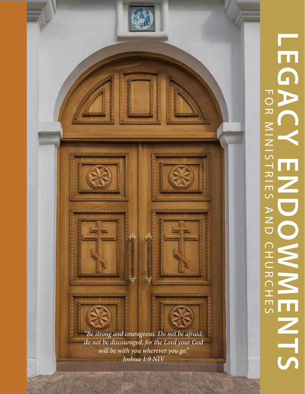## LEGACYENDO **LEGACY ENDOWMENTS** FOR MINISTRIES AND CHURCHES**HINDO** CHUR

*"Be strong and courageous. Do not be afraid; do not be discouraged, for the Lord your God will be with you wherever you go." Joshua 1:9 NIV*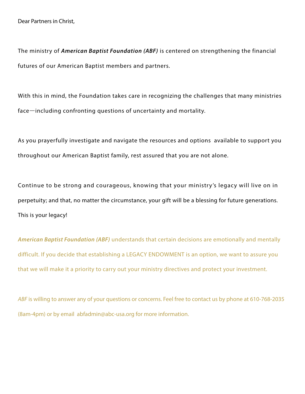The ministry of *American Baptist Foundation (ABF)* is centered on strengthening the financial futures of our American Baptist members and partners.

With this in mind, the Foundation takes care in recognizing the challenges that many ministries face—including confronting questions of uncertainty and mortality.

As you prayerfully investigate and navigate the resources and options available to support you throughout our American Baptist family, rest assured that you are not alone.

Continue to be strong and courageous, knowing that your ministry's legacy will live on in perpetuity; and that, no matter the circumstance, your gift will be a blessing for future generations. This is your legacy!

*American Baptist Foundation (ABF)* understands that certain decisions are emotionally and mentally difficult. If you decide that establishing a LEGACY ENDOWMENT is an option, we want to assure you that we will make it a priority to carry out your ministry directives and protect your investment.

*ABF* is willing to answer any of your questions or concerns. Feel free to contact us by phone at 610-768-2035 (8am-4pm) or by email abfadmin@abc-usa.org for more information.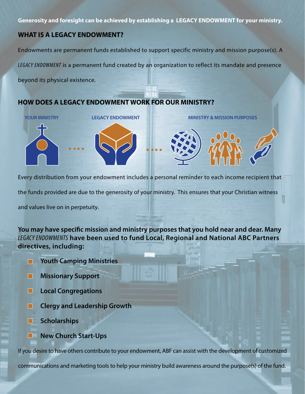**Generosity and foresight can be achieved by establishing a LEGACY ENDOWMENT for your ministry.**

## **WHAT IS A LEGACY ENDOWMENT?**

Endowments are permanent funds established to support specific ministry and mission purpose(s). A

*LEGACY ENDOWMENT* is a permanent fund created by an organization to reflect its mandate and presence

beyond its physical existence.

## **HOW DOES A LEGACY ENDOWMENT WORK FOR OUR MINISTRY?**



Every distribution from your endowment includes a personal reminder to each income recipient that the funds provided are due to the generosity of your ministry. This ensures that your Christian witness

and values live on in perpetuity.

**You may have specific mission and ministry purposes that you hold near and dear. Many**  *LEGACY ENDOWMENTS* **have been used to fund Local, Regional and National ABC Partners directives, including:**

- **Youth Camping Ministries**
- **Missionary Support** П
- **Local Congregations** П
- **Clergy and Leadership Growth**
- **Scholarships**
- **New Church Start-Ups** П

If you desire to have others contribute to your endowment, ABF can assist with the development of customized

communications and marketing tools to help your ministry build awareness around the purpose(s) of the fund.